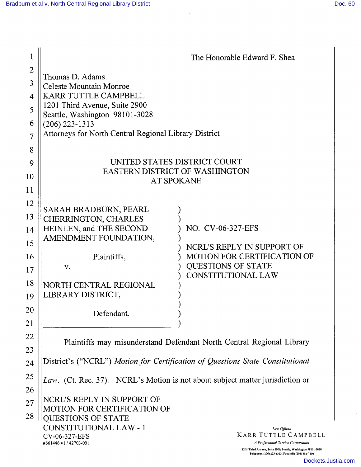| 1              |                                                                                | The Honorable Edward F. Shea                                                                                                                              |  |
|----------------|--------------------------------------------------------------------------------|-----------------------------------------------------------------------------------------------------------------------------------------------------------|--|
| $\mathbf{2}$   |                                                                                |                                                                                                                                                           |  |
| 3              | Thomas D. Adams<br><b>Celeste Mountain Monroe</b>                              |                                                                                                                                                           |  |
| 4              | <b>KARR TUTTLE CAMPBELL</b>                                                    |                                                                                                                                                           |  |
|                | 1201 Third Avenue, Suite 2900                                                  |                                                                                                                                                           |  |
| 5              | Seattle, Washington 98101-3028                                                 |                                                                                                                                                           |  |
| 6              | $(206)$ 223-1313                                                               |                                                                                                                                                           |  |
| $\overline{7}$ | Attorneys for North Central Regional Library District                          |                                                                                                                                                           |  |
| 8              |                                                                                |                                                                                                                                                           |  |
| 9              | UNITED STATES DISTRICT COURT                                                   |                                                                                                                                                           |  |
| 10             | <b>EASTERN DISTRICT OF WASHINGTON</b><br><b>AT SPOKANE</b>                     |                                                                                                                                                           |  |
| 11             |                                                                                |                                                                                                                                                           |  |
| 12             |                                                                                |                                                                                                                                                           |  |
|                | SARAH BRADBURN, PEARL                                                          |                                                                                                                                                           |  |
| 13             | CHERRINGTON, CHARLES                                                           | NO. CV-06-327-EFS                                                                                                                                         |  |
| 14             | HEINLEN, and THE SECOND<br>AMENDMENT FOUNDATION,                               |                                                                                                                                                           |  |
| 15             |                                                                                | NCRL'S REPLY IN SUPPORT OF                                                                                                                                |  |
| 16             | Plaintiffs,                                                                    | <b>MOTION FOR CERTIFICATION OF</b>                                                                                                                        |  |
| 17             | V.                                                                             | <b>QUESTIONS OF STATE</b>                                                                                                                                 |  |
| 18             | NORTH CENTRAL REGIONAL                                                         | <b>CONSTITUTIONAL LAW</b>                                                                                                                                 |  |
| 19             | LIBRARY DISTRICT,                                                              |                                                                                                                                                           |  |
|                |                                                                                |                                                                                                                                                           |  |
| 20             | Defendant.                                                                     |                                                                                                                                                           |  |
| 21             |                                                                                |                                                                                                                                                           |  |
| 22             | Plaintiffs may misunderstand Defendant North Central Regional Library          |                                                                                                                                                           |  |
| 23             |                                                                                |                                                                                                                                                           |  |
| 24             | District's ("NCRL") Motion for Certification of Questions State Constitutional |                                                                                                                                                           |  |
| 25             |                                                                                | Law. (Ct. Rec. 37). NCRL's Motion is not about subject matter jurisdiction or                                                                             |  |
| 26             |                                                                                |                                                                                                                                                           |  |
| 27             | NCRL'S REPLY IN SUPPORT OF                                                     |                                                                                                                                                           |  |
| 28             | <b>MOTION FOR CERTIFICATION OF</b>                                             |                                                                                                                                                           |  |
|                | <b>QUESTIONS OF STATE</b><br><b>CONSTITUTIONAL LAW - 1</b>                     | Law Offices                                                                                                                                               |  |
|                | CV-06-327-EFS                                                                  | <b>KARR TUTTLE CAMPBELL</b>                                                                                                                               |  |
|                | #661446 v1/42703-001                                                           | A Professional Service Corporation<br>1201 Third Avenue, Suite 2900, Seattle, Washington 98101-3028<br>Telephone (206) 223-1313, Facsimile (206) 682-7100 |  |

 $\sim$ 

Dockets.Justia.com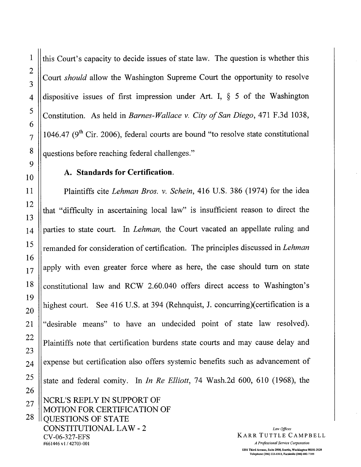this Court's capacity to decide issues of state law. The question is whether this Court should allow the Washington Supreme Court the opportunity to resolve dispositive issues of first impression under Art. I,  $\S$  5 of the Washington Constitution. As held in Barnes-Wallace v. City of San Diego, 471 F.3d 1038, 1046.47 ( $9<sup>th</sup>$  Cir. 2006), federal courts are bound "to resolve state constitutional questions before reaching federal challenges."

## A. Standards for Certification.

Plaintiffs cite Lehman Bros. v. Schein, 416 U.S. 386 (1974) for the idea that "difficulty in ascertaining local law" is insufficient reason to direct the parties to state court. In Lehman, the Court vacated an appellate ruling and remanded for consideration of certification. The principles discussed in Lehman apply with even greater force where as here, the case should turn on state constitutional law and RCW 2.60.040 offers direct access to Washington's highest court. See 416 U.S. at 394 (Rehnquist, J. concurring)(certification is a "desirable means" to have an undecided point of state law resolved). Plaintiffs note that certification burdens state courts and may cause delay and expense but certification also offers systemic benefits such as advancement of state and federal comity. In In Re Elliott, 74 Wash.2d 600, 610 (1968), the NCRL'S REPLY IN SUPPORT OF

MOTION FOR CERTIFICATION OF QUESTIONS OF STATE CONSTITUTIONAL LAW - 2 CV-06-327-EFS #661446 v1 / 42703-001 *A Professional Service Corporation* 

KARR TUTTLE CAMPBELL

Law Offices 1201 Tbird Avenue, Suite 2900, Seatte, Washington 98101-3028 Telephone (206) 223-1313, Facsimile (206) 682-7100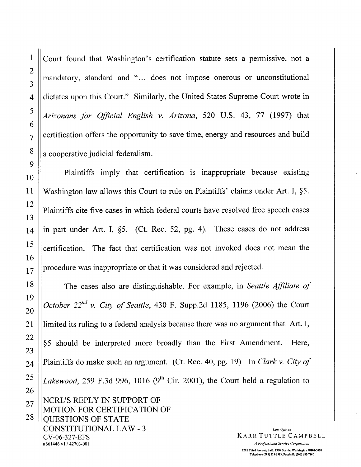Court found that Washington's certification statute sets a permissive, not a mandatory, standard and "... does not impose onerous or unconstitutional dictates upon this Court." Similarly, the United States Supreme Court wrote in Arizonans for Official English v. Arizona, 520 U.S. 43, 77 (1997) that certification offers the opportunity to save time, energy and resources and build a cooperative judicial federalism.

Plaintiffs imply that certification is inappropriate because existing Washington law allows this Court to rule on Plaintiffs' claims under Art. I, §5. Plaintiffs cite five cases in which federal courts have resolved free speech cases in part under Art. I,  $\S5$ . (Ct. Rec. 52, pg. 4). These cases do not address certification. The fact that certification was not invoked does not mean the procedure was inappropriate or that it was considered and rejected.

The cases also are distinguishable. For example, in Seattle Affiliate of October  $22^{nd}$  v. City of Seattle, 430 F. Supp.2d 1185, 1196 (2006) the Court limited its ruling to a federal analysis because there was no argument that Art. I, §5 should be interpreted more broadly than the First Amendment. Here, Plaintiffs do make such an argument. (Ct. Rec. 40, pg. 19) In Clark v. City of Lakewood, 259 F.3d 996, 1016 (9<sup>th</sup> Cir. 2001), the Court held a regulation to NCRL'S REPLY IN SUPPORT OF MOTION FOR CERTIFICATION OF QUESTIONS OF STATE CONSTITUTIONAL LAW - 3 CV-06-327-EFS<br>#661446 v1/42703-001 Law Offices KARR TUTTLE CAMPBELL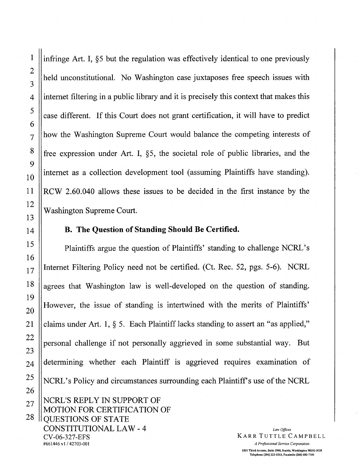infringe Art. I, §5 but the regulation was effectively identical to one previously held unconstitutional. No Washington case juxtaposes free speech issues with internet filtering in a public library and it is precisely this context that makes this case different. If this Court does not grant certification, it will have to predict how the Washington Supreme Court would balance the competing interests of free expression under Art. I, §5, the societal role of public libraries, and the internet as a collection development tool (assuming Plaintiffs have standing). RCW 2.60.040 allows these issues to be decided in the first instance by the Washington Supreme Court.

## B. The Question of Standing Should Be Certified.

Plaintiffs argue the question of Plaintiffs' standing to challenge NCRL's Internet Filtering Policy need not be certified. (Ct. Rec. 52, pgs. 5-6). NCRL agrees that Washington law is well-developed on the question of standing. However, the issue of standing is intertwined with the merits of Plaintiffs' claims under Art. 1, § 5. Each Plaintiff lacks standing to assert an "as applied," personal challenge if not personally aggrieved in some substantial way. But determining whether each Plaintiff is aggrieved requires examination of NCRL's Policy and circumstances surrounding each Plaintiff's use of the NCRL NCRL'S REPLY IN SUPPORT OF **MOTION FOR CERTIFICATION OF** 

**OUESTIONS OF STATE CONSTITUTIONAL LAW - 4** CV-06-327-EFS #661446 v1 / 42703-001

Law Offices **KARR TUTTLE CAMPBELL** A Professional Service Corporation 1201 Third Avenue, Suite 2900, Seattle, Washington 98101-3028 Telephone (206) 223-1313, Facsimile (206) 682-7100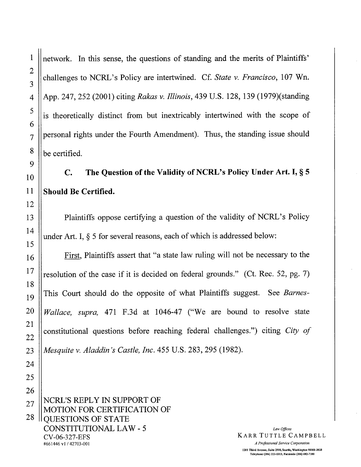$\mathbf{1}$ 

 $\overline{2}$ 

3

 $\overline{4}$ 

network. In this sense, the questions of standing and the merits of Plaintiffs' challenges to NCRL's Policy are intertwined. Cf. State v. Francisco, 107 Wn. App. 247, 252 (2001) citing Rakas v. Illinois, 439 U.S. 128, 139 (1979)(standing is theoretically distinct from but inextricably intertwined with the scope of personal rights under the Fourth Amendment). Thus, the standing issue should be certified.

## The Question of the Validity of NCRL's Policy Under Art. I, § 5  $\mathbf{C}$ . **Should Be Certified.**

Plaintiffs oppose certifying a question of the validity of NCRL's Policy under Art. I,  $\S$  5 for several reasons, each of which is addressed below:

First, Plaintiffs assert that "a state law ruling will not be necessary to the resolution of the case if it is decided on federal grounds." (Ct. Rec. 52, pg. 7) This Court should do the opposite of what Plaintiffs suggest. See Barnes-Wallace, supra, 471 F.3d at 1046-47 ("We are bound to resolve state constitutional questions before reaching federal challenges.") citing City of Mesquite v. Aladdin's Castle, Inc. 455 U.S. 283, 295 (1982).

NCRL'S REPLY IN SUPPORT OF **MOTION FOR CERTIFICATION OF OUESTIONS OF STATE CONSTITUTIONAL LAW - 5** CV-06-327-EFS #661446 v1 / 42703-001

Law Offices KARR TUTTLE CAMPBELL

A Professional Service Corporation 1201 Third Avenue, Suite 2900, Seattle, Washington 98101-3028 Telephone (206) 223-1313. Facsimile (206) 682-7100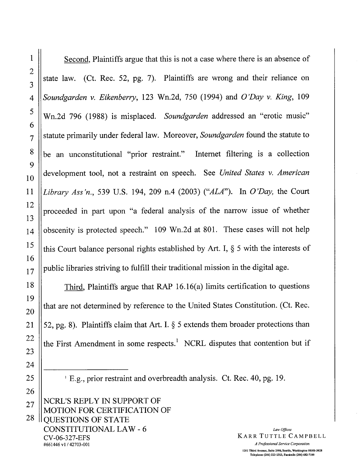Second, Plaintiffs argue that this is not a case where there is an absence of state law. (Ct. Rec. 52, pg. 7). Plaintiffs are wrong and their reliance on Soundgarden v. Eikenberry, 123 Wn.2d, 750 (1994) and O'Day v. King, 109 Wn.2d 796 (1988) is misplaced. Soundgarden addressed an "erotic music" statute primarily under federal law. Moreover, Soundgarden found the statute to be an unconstitutional "prior restraint." Internet filtering is a collection development tool, not a restraint on speech. See United States v. American Library Ass'n., 539 U.S. 194, 209 n.4 (2003) ("ALA"). In O'Day, the Court proceeded in part upon "a federal analysis of the narrow issue of whether obscenity is protected speech." 109 Wn.2d at 801. These cases will not help this Court balance personal rights established by Art. I,  $\S$  5 with the interests of public libraries striving to fulfill their traditional mission in the digital age.

Third, Plaintiffs argue that RAP 16.16(a) limits certification to questions that are not determined by reference to the United States Constitution. (Ct. Rec. 52, pg. 8). Plaintiffs claim that Art. I.  $\S$  5 extends them broader protections than the First Amendment in some respects.<sup>1</sup> NCRL disputes that contention but if

<sup>1</sup> E.g., prior restraint and overbreadth analysis. Ct. Rec. 40, pg. 19.

NCRL'S REPLY IN SUPPORT OF MOTION FOR CERTIFICATION OF **OUESTIONS OF STATE CONSTITUTIONAL LAW - 6** CV-06-327-EFS #661446 v1/42703-001

Law Offices **KARR TUTTLE CAMPBELL** A Professional Service Corporation 1201 Third Avenue, Suite 2900, Seattle, Washington 98101-3028 Telephone (206) 223-1313, Facsimile (206) 682-7100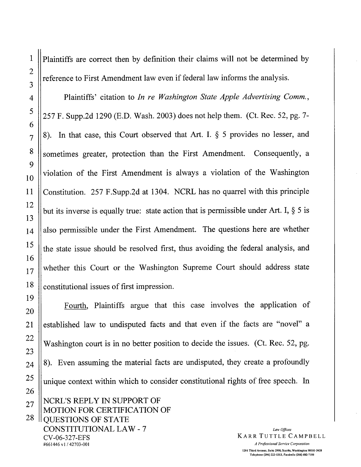$\mathbf{1}$ 

 $\overline{2}$ 

Plaintiffs are correct then by definition their claims will not be determined by reference to First Amendment law even if federal law informs the analysis.

Plaintiffs' citation to In re Washington State Apple Advertising Comm., 257 F. Supp.2d 1290 (E.D. Wash. 2003) does not help them. (Ct. Rec. 52, pg. 7-8). In that case, this Court observed that Art. I. § 5 provides no lesser, and sometimes greater, protection than the First Amendment. Consequently, a violation of the First Amendment is always a violation of the Washington Constitution. 257 F.Supp.2d at 1304. NCRL has no quarrel with this principle but its inverse is equally true: state action that is permissible under Art. I,  $\S$  5 is also permissible under the First Amendment. The questions here are whether the state issue should be resolved first, thus avoiding the federal analysis, and whether this Court or the Washington Supreme Court should address state constitutional issues of first impression.

Fourth, Plaintiffs argue that this case involves the application of established law to undisputed facts and that even if the facts are "novel" a Washington court is in no better position to decide the issues. (Ct. Rec. 52, pg. 8). Even assuming the material facts are undisputed, they create a profoundly unique context within which to consider constitutional rights of free speech. In NCRL'S REPLY IN SUPPORT OF **MOTION FOR CERTIFICATION OF** 

**QUESTIONS OF STATE CONSTITUTIONAL LAW - 7** CV-06-327-EFS #661446 v1/42703-001

Law Offices **KARR TUTTLE CAMPBELL** A Professional Service Corporation 1201 Third Avenue, Suite 2900, Seattle, Washington 98101-3028 Telephone (206) 223-1313, Facsimile (206) 682-7100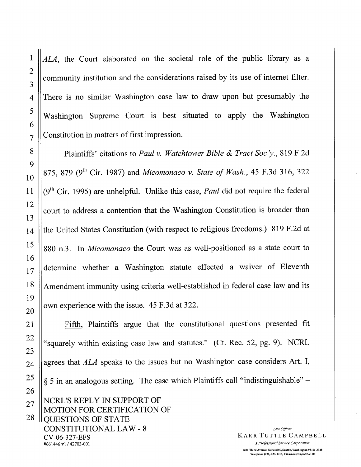ALA, the Court elaborated on the societal role of the public library as a community institution and the considerations raised by its use of internet filter. There is no similar Washington case law to draw upon but presumably the Washington Supreme Court is best situated to apply the Washington Constitution in matters of first impression.

Plaintiffs' citations to Paul v. Watchtower Bible & Tract Soc'y., 819 F.2d 875, 879 (9<sup>th</sup> Cir. 1987) and Micomonaco v. State of Wash., 45 F.3d 316, 322  $(9<sup>th</sup>$  Cir. 1995) are unhelpful. Unlike this case, *Paul* did not require the federal court to address a contention that the Washington Constitution is broader than the United States Constitution (with respect to religious freedoms.) 819 F.2d at 880 n.3. In *Micomanaco* the Court was as well-positioned as a state court to determine whether a Washington statute effected a waiver of Eleventh Amendment immunity using criteria well-established in federal case law and its own experience with the issue. 45 F.3d at 322.

#661446 v1/42703-001

 $\mathbf{1}$ 

 $\overline{2}$ 

3

 $\overline{\mathbf{4}}$ 

5

6

 $\overline{7}$ 

8

9

10

11

12

13

14

Fifth, Plaintiffs argue that the constitutional questions presented fit "squarely within existing case law and statutes." (Ct. Rec. 52, pg. 9). NCRL agrees that ALA speaks to the issues but no Washington case considers Art. I, § 5 in an analogous setting. The case which Plaintiffs call "indistinguishable" – NCRL'S REPLY IN SUPPORT OF MOTION FOR CERTIFICATION OF **QUESTIONS OF STATE CONSTITUTIONAL LAW - 8** Law Offices **KARR TUTTLE CAMPBELL** CV-06-327-EFS

A Professional Service Corporation 1201 Third Avenue, Suite 2900, Seattle, Washington 98101-3028 Telephone (206) 223-1313. Facsimile (206) 682-7100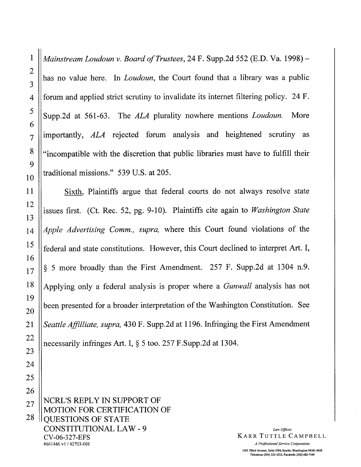Mainstream Loudoun v. Board of Trustees, 24 F. Supp.2d 552 (E.D. Va. 1998) – has no value here. In *Loudoun*, the Court found that a library was a public forum and applied strict scrutiny to invalidate its internet filtering policy. 24 F. Supp.2d at 561-63. The ALA plurality nowhere mentions Loudoun. More importantly, ALA rejected forum analysis and heightened scrutiny as "incompatible with the discretion that public libraries must have to fulfill their traditional missions." 539 U.S. at 205.

Sixth, Plaintiffs argue that federal courts do not always resolve state issues first. (Ct. Rec. 52, pg. 9-10). Plaintiffs cite again to Washington State Apple Advertising Comm., supra, where this Court found violations of the federal and state constitutions. However, this Court declined to interpret Art. I, § 5 more broadly than the First Amendment. 257 F. Supp.2d at 1304 n.9. Applying only a federal analysis is proper where a *Gunwall* analysis has not been presented for a broader interpretation of the Washington Constitution. See Seattle Affilliate, supra, 430 F. Supp.2d at 1196. Infringing the First Amendment necessarily infringes Art. I, § 5 too. 257 F.Supp.2d at 1304.

NCRL'S REPLY IN SUPPORT OF **MOTION FOR CERTIFICATION OF OUESTIONS OF STATE CONSTITUTIONAL LAW - 9** CV-06-327-EFS #661446 v1 / 42703-001

Law Offices **KARR TUTTLE CAMPBELL** 

A Professional Service Corporation 1201 Third Avenue, Suite 2900, Seattle, Washington 98101-3028 Telephone (206) 223-1313, Facsimile (206) 682-7100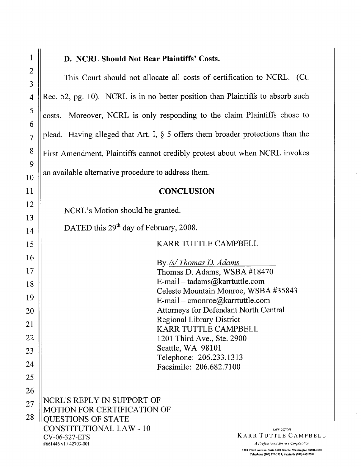## D. NCRL Should Not Bear Plaintiffs' Costs.

This Court should not allocate all costs of certification to NCRL. (Ct. Rec. 52, pg. 10). NCRL is in no better position than Plaintiffs to absorb such costs. Moreover, NCRL is only responding to the claim Plaintiffs chose to plead. Having alleged that Art. I,  $\S$  5 offers them broader protections than the First Amendment, Plaintiffs cannot credibly protest about when NCRL invokes an available alternative procedure to address them. **CONCLUSION** NCRL's Motion should be granted. DATED this 29<sup>th</sup> day of February, 2008. KARR TUTTLE CAMPBELL By:/s/Thomas D. Adams Thomas D. Adams, WSBA #18470 E-mail – tadams@karrtuttle.com Celeste Mountain Monroe, WSBA #35843 E-mail – cmonroe@karrtuttle.com Attorneys for Defendant North Central **Regional Library District** KARR TUTTLE CAMPBELL 1201 Third Ave., Ste. 2900 Seattle, WA 98101 Telephone: 206.233.1313 Facsimile: 206.682.7100 NCRL'S REPLY IN SUPPORT OF **MOTION FOR CERTIFICATION OF OUESTIONS OF STATE CONSTITUTIONAL LAW - 10** Law Offices KARR TUTTLE CAMPBELL CV-06-327-EFS #661446 v1 / 42703-001 A Professional Service Corporation

1201 Third Avenue, Suite 2900, Seattle, Washington 98101-3028 Telephone (206) 223-1313, Facsimile (206) 682-7100